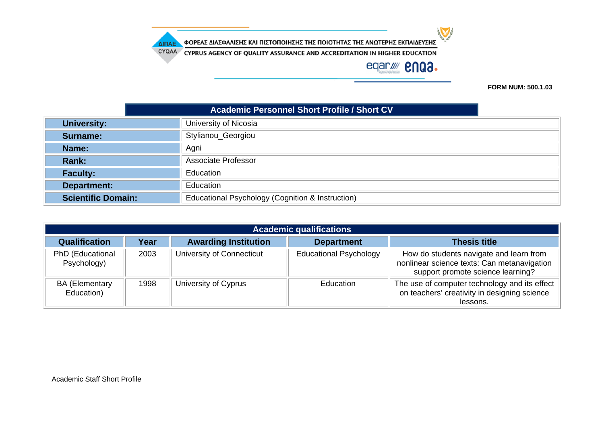CYQAA CYPRUS AGENCY OF QUALITY ASSURANCE AND ACCREDITATION IN HIGHER EDUCATION

# eqar//// **enga.**

 $\sum$ 

**FORM NUM: 500.1.03**

|                           | <b>Academic Personnel Short Profile / Short CV</b> |  |  |
|---------------------------|----------------------------------------------------|--|--|
| <b>University:</b>        | University of Nicosia                              |  |  |
| <b>Surname:</b>           | Stylianou_Georgiou                                 |  |  |
| Name:                     | Agni                                               |  |  |
| Rank:                     | Associate Professor                                |  |  |
| <b>Faculty:</b>           | Education                                          |  |  |
| Department:               | Education                                          |  |  |
| <b>Scientific Domain:</b> | Educational Psychology (Cognition & Instruction)   |  |  |

| <b>Academic qualifications</b>      |      |                             |                               |                                                                                                                             |  |
|-------------------------------------|------|-----------------------------|-------------------------------|-----------------------------------------------------------------------------------------------------------------------------|--|
| <b>Qualification</b>                | Year | <b>Awarding Institution</b> | <b>Department</b>             | <b>Thesis title</b>                                                                                                         |  |
| PhD (Educational<br>Psychology)     | 2003 | University of Connecticut   | <b>Educational Psychology</b> | How do students navigate and learn from<br>nonlinear science texts: Can metanavigation<br>support promote science learning? |  |
| <b>BA (Elementary</b><br>Education) | 1998 | University of Cyprus        | Education                     | The use of computer technology and its effect<br>on teachers' creativity in designing science<br>lessons.                   |  |

ΔΙΠΑΕ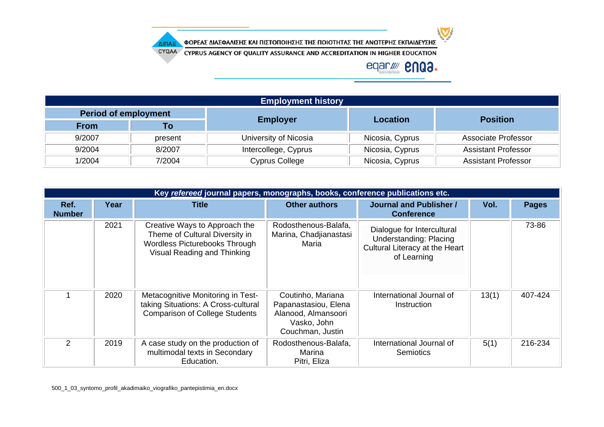

CYQAA CYPRUS AGENCY OF QUALITY ASSURANCE AND ACCREDITATION IN HIGHER EDUCATION

## eqar/ **2003.**

| <b>Employment history</b>   |         |                       |                 |                            |  |  |
|-----------------------------|---------|-----------------------|-----------------|----------------------------|--|--|
| <b>Period of employment</b> |         |                       | <b>Location</b> |                            |  |  |
| <b>From</b>                 | Τо      | <b>Employer</b>       |                 | <b>Position</b>            |  |  |
| 9/2007                      | present | University of Nicosia | Nicosia, Cyprus | Associate Professor        |  |  |
| 9/2004                      | 8/2007  | Intercollege, Cyprus  | Nicosia, Cyprus | <b>Assistant Professor</b> |  |  |
| 1/2004                      | 7/2004  | Cyprus College        | Nicosia, Cyprus | <b>Assistant Professor</b> |  |  |

|                       | Key refereed journal papers, monographs, books, conference publications etc. |                                                                                                                                 |                                                                                                     |                                                                                                              |       |              |  |
|-----------------------|------------------------------------------------------------------------------|---------------------------------------------------------------------------------------------------------------------------------|-----------------------------------------------------------------------------------------------------|--------------------------------------------------------------------------------------------------------------|-------|--------------|--|
| Ref.<br><b>Number</b> | Year                                                                         | <b>Title</b>                                                                                                                    | <b>Other authors</b>                                                                                | <b>Journal and Publisher /</b><br><b>Conference</b>                                                          | Vol.  | <b>Pages</b> |  |
|                       | 2021                                                                         | Creative Ways to Approach the<br>Theme of Cultural Diversity in<br>Wordless Picturebooks Through<br>Visual Reading and Thinking | Rodosthenous-Balafa,<br>Marina, Chadjianastasi<br>Maria                                             | Dialogue for Intercultural<br><b>Understanding: Placing</b><br>Cultural Literacy at the Heart<br>of Learning |       | 73-86        |  |
|                       | 2020                                                                         | Metacognitive Monitoring in Test-<br>taking Situations: A Cross-cultural<br><b>Comparison of College Students</b>               | Coutinho, Mariana<br>Papanastasiou, Elena<br>Alanood, Almansoori<br>Vasko, John<br>Couchman, Justin | International Journal of<br>Instruction                                                                      | 13(1) | 407-424      |  |
| $\overline{2}$        | 2019                                                                         | A case study on the production of<br>multimodal texts in Secondary<br>Education.                                                | Rodosthenous-Balafa,<br>Marina<br>Pitri, Eliza                                                      | International Journal of<br>Semiotics                                                                        | 5(1)  | 216-234      |  |

ΔΙΠΑΕ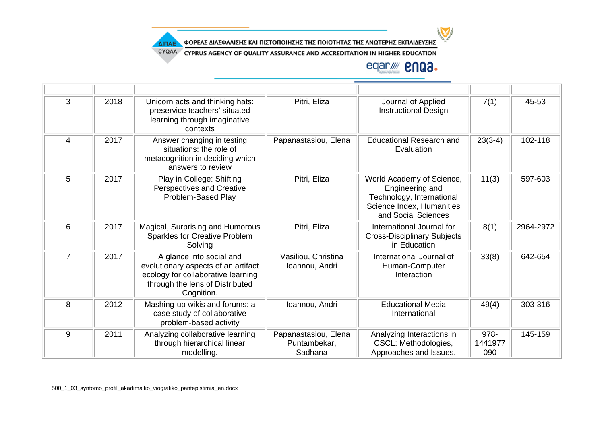

CYQAA CYPRUS AGENCY OF QUALITY ASSURANCE AND ACCREDITATION IN HIGHER EDUCATION

### eqar/ **2003.**

 $\sum$ 

| 3              | 2018 | Unicorn acts and thinking hats:<br>preservice teachers' situated<br>learning through imaginative<br>contexts                                           | Pitri, Eliza                                    | Journal of Applied<br><b>Instructional Design</b>                                                                             | 7(1)                   | 45-53     |
|----------------|------|--------------------------------------------------------------------------------------------------------------------------------------------------------|-------------------------------------------------|-------------------------------------------------------------------------------------------------------------------------------|------------------------|-----------|
| $\overline{4}$ | 2017 | Answer changing in testing<br>situations: the role of<br>metacognition in deciding which<br>answers to review                                          | Papanastasiou, Elena                            | <b>Educational Research and</b><br>Evaluation                                                                                 | $23(3-4)$              | 102-118   |
| 5              | 2017 | Play in College: Shifting<br>Perspectives and Creative<br>Problem-Based Play                                                                           | Pitri, Eliza                                    | World Academy of Science,<br>Engineering and<br>Technology, International<br>Science Index, Humanities<br>and Social Sciences | 11(3)                  | 597-603   |
| 6              | 2017 | Magical, Surprising and Humorous<br><b>Sparkles for Creative Problem</b><br>Solving                                                                    | Pitri, Eliza                                    | International Journal for<br><b>Cross-Disciplinary Subjects</b><br>in Education                                               | 8(1)                   | 2964-2972 |
| $\overline{7}$ | 2017 | A glance into social and<br>evolutionary aspects of an artifact<br>ecology for collaborative learning<br>through the lens of Distributed<br>Cognition. | Vasiliou, Christina<br>Ioannou, Andri           | International Journal of<br>Human-Computer<br>Interaction                                                                     | 33(8)                  | 642-654   |
| 8              | 2012 | Mashing-up wikis and forums: a<br>case study of collaborative<br>problem-based activity                                                                | Ioannou, Andri                                  | <b>Educational Media</b><br>International                                                                                     | 49(4)                  | 303-316   |
| 9              | 2011 | Analyzing collaborative learning<br>through hierarchical linear<br>modelling.                                                                          | Papanastasiou, Elena<br>Puntambekar,<br>Sadhana | Analyzing Interactions in<br>CSCL: Methodologies,<br>Approaches and Issues.                                                   | 978-<br>1441977<br>090 | 145-159   |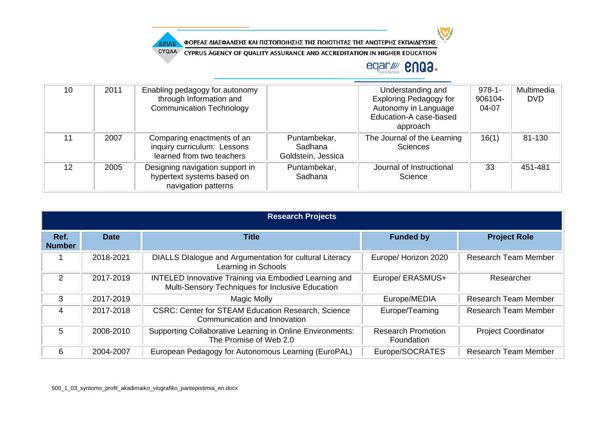

CYQAA CYPRUS AGENCY OF QUALITY ASSURANCE AND ACCREDITATION IN HIGHER EDUCATION

### eqar/ **2003.**

| 10 | 2011 | Enabling pedagogy for autonomy<br>through Information and<br><b>Communication Technology</b> |                                               | Understanding and<br><b>Exploring Pedagogy for</b><br>Autonomy in Language<br>Education-A case-based<br>approach | $978-1$ -<br>906104-<br>04-07 | Multimedia<br><b>DVD</b> |
|----|------|----------------------------------------------------------------------------------------------|-----------------------------------------------|------------------------------------------------------------------------------------------------------------------|-------------------------------|--------------------------|
| 11 | 2007 | Comparing enactments of an<br>inquiry curriculum: Lessons<br>learned from two teachers       | Puntambekar,<br>Sadhana<br>Goldstein, Jessica | The Journal of the Learning<br><b>Sciences</b>                                                                   | 16(1)                         | 81-130                   |
| 12 | 2005 | Designing navigation support in<br>hypertext systems based on<br>navigation patterns         | Puntambekar,<br>Sadhana                       | Journal of Instructional<br>Science                                                                              | 33                            | 451-481                  |

|                       | <b>Research Projects</b> |                                                                                                                  |                                         |                             |  |  |  |
|-----------------------|--------------------------|------------------------------------------------------------------------------------------------------------------|-----------------------------------------|-----------------------------|--|--|--|
| Ref.<br><b>Number</b> | <b>Date</b>              | <b>Title</b>                                                                                                     | <b>Funded by</b>                        | <b>Project Role</b>         |  |  |  |
|                       | 2018-2021                | DIALLS DIalogue and Argumentation for cultural Literacy<br>Learning in Schools                                   | Europe/ Horizon 2020                    | <b>Research Team Member</b> |  |  |  |
| $\mathcal{P}$         | 2017-2019                | <b>INTELED Innovative Training via Embodied Learning and</b><br>Multi-Sensory Techniques for Inclusive Education | Europe/ ERASMUS+                        | Researcher                  |  |  |  |
| 3                     | 2017-2019                | <b>Magic Molly</b>                                                                                               | Europe/MEDIA                            | <b>Research Team Member</b> |  |  |  |
| 4                     | 2017-2018                | <b>CSRC: Center for STEAM Education Research, Science</b><br>Communication and Innovation                        | Europe/Teaming                          | <b>Research Team Member</b> |  |  |  |
| 5                     | 2008-2010                | Supporting Collaborative Learning in Online Environments:<br>The Promise of Web 2.0                              | <b>Research Promotion</b><br>Foundation | <b>Project Coordinator</b>  |  |  |  |
| 6                     | 2004-2007                | European Pedagogy for Autonomous Learning (EuroPAL)                                                              | Europe/SOCRATES                         | <b>Research Team Member</b> |  |  |  |

ΔΙΠΑΕ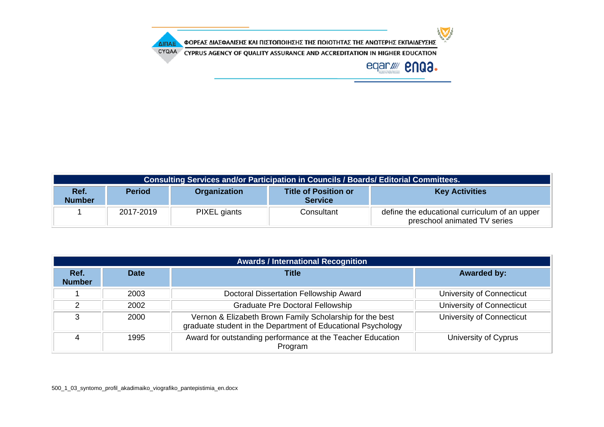$\sum$ ΦΟΡΕΑΣ ΔΙΑΣΦΑΛΙΣΗΣ ΚΑΙ ΠΙΣΤΟΠΟΙΗΣΗΣ ΤΗΣ ΠΟΙΟΤΗΤΑΣ ΤΗΣ ΑΝΩΤΕΡΗΣ ΕΚΠΑΙΔΕΥΣΗΣ ΔΙΠΑΕ CYQAA CYPRUS AGENCY OF QUALITY ASSURANCE AND ACCREDITATION IN HIGHER EDUCATION eqar/ **2003.** 

| Consulting Services and/or Participation in Councils / Boards/ Editorial Committees. |               |                     |                                               |                                                                               |  |
|--------------------------------------------------------------------------------------|---------------|---------------------|-----------------------------------------------|-------------------------------------------------------------------------------|--|
| Ref.<br><b>Number</b>                                                                | <b>Period</b> | <b>Organization</b> | <b>Title of Position or</b><br><b>Service</b> | <b>Key Activities</b>                                                         |  |
|                                                                                      | 2017-2019     | PIXEL giants        | Consultant                                    | define the educational curriculum of an upper<br>preschool animated TV series |  |

| <b>Awards / International Recognition</b> |             |                                                                                                                          |                           |  |  |
|-------------------------------------------|-------------|--------------------------------------------------------------------------------------------------------------------------|---------------------------|--|--|
| Ref.<br><b>Number</b>                     | <b>Date</b> | <b>Title</b>                                                                                                             | <b>Awarded by:</b>        |  |  |
|                                           | 2003        | Doctoral Dissertation Fellowship Award                                                                                   | University of Connecticut |  |  |
| ົ                                         | 2002        | <b>Graduate Pre Doctoral Fellowship</b>                                                                                  | University of Connecticut |  |  |
| 3                                         | 2000        | Vernon & Elizabeth Brown Family Scholarship for the best<br>graduate student in the Department of Educational Psychology | University of Connecticut |  |  |
|                                           | 1995        | Award for outstanding performance at the Teacher Education<br>Program                                                    | University of Cyprus      |  |  |